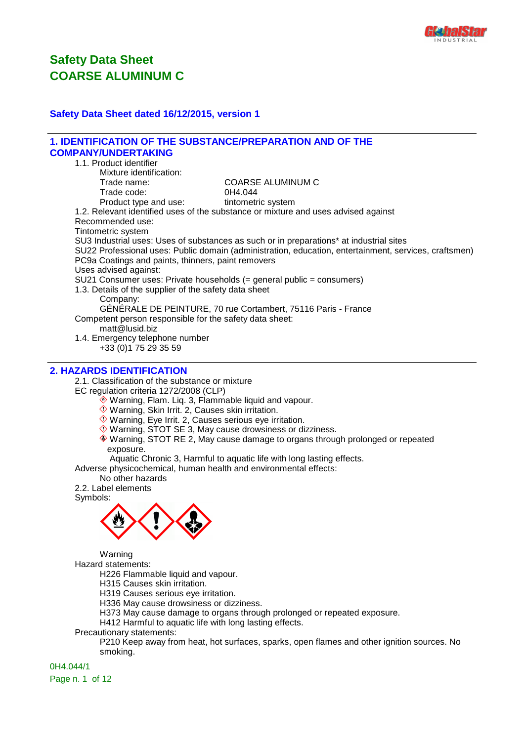

#### **Safety Data Sheet dated 16/12/2015, version 1**

| <b>1. IDENTIFICATION OF THE SUBSTANCE/PREPARATION AND OF THE</b>        |                                                                                                       |
|-------------------------------------------------------------------------|-------------------------------------------------------------------------------------------------------|
| <b>COMPANY/UNDERTAKING</b>                                              |                                                                                                       |
| 1.1. Product identifier                                                 |                                                                                                       |
| Mixture identification:                                                 |                                                                                                       |
| Trade name:                                                             | <b>COARSE ALUMINUM C</b>                                                                              |
| Trade code:                                                             | 0H4.044                                                                                               |
| Product type and use: tintometric system                                |                                                                                                       |
|                                                                         | 1.2. Relevant identified uses of the substance or mixture and uses advised against                    |
| Recommended use:                                                        |                                                                                                       |
| Tintometric system                                                      |                                                                                                       |
|                                                                         | SU3 Industrial uses: Uses of substances as such or in preparations* at industrial sites               |
|                                                                         | SU22 Professional uses: Public domain (administration, education, entertainment, services, craftsmen) |
| PC9a Coatings and paints, thinners, paint removers                      |                                                                                                       |
| Uses advised against:                                                   |                                                                                                       |
| $SU21$ Consumer uses: Private households (= general public = consumers) |                                                                                                       |
| 1.3. Details of the supplier of the safety data sheet                   |                                                                                                       |
| Company:                                                                |                                                                                                       |
|                                                                         | GÉNÉRALE DE PEINTURE, 70 rue Cortambert, 75116 Paris - France                                         |
| Competent person responsible for the safety data sheet:                 |                                                                                                       |
| $m$ att@lusid.biz                                                       |                                                                                                       |
| 1.4. Emergency telephone number                                         |                                                                                                       |
| +33 (0) 175 29 35 59                                                    |                                                                                                       |
|                                                                         |                                                                                                       |

#### **2. HAZARDS IDENTIFICATION**

2.1. Classification of the substance or mixture

EC regulation criteria 1272/2008 (CLP)

- Warning, Flam. Liq. 3, Flammable liquid and vapour.
	- Warning, Skin Irrit. 2, Causes skin irritation.
	- Warning, Eye Irrit. 2, Causes serious eye irritation.
	- $\Diamond$  Warning, STOT SE 3, May cause drowsiness or dizziness.
	- Warning, STOT RE 2, May cause damage to organs through prolonged or repeated exposure.

Aquatic Chronic 3, Harmful to aquatic life with long lasting effects.

Adverse physicochemical, human health and environmental effects:

No other hazards

2.2. Label elements

Symbols:



Warning

Hazard statements:

H226 Flammable liquid and vapour.

H315 Causes skin irritation.

H319 Causes serious eye irritation.

H336 May cause drowsiness or dizziness.

H373 May cause damage to organs through prolonged or repeated exposure.

H412 Harmful to aquatic life with long lasting effects.

Precautionary statements:

P210 Keep away from heat, hot surfaces, sparks, open flames and other ignition sources. No smoking.

0H4.044/1 Page n. 1 of 12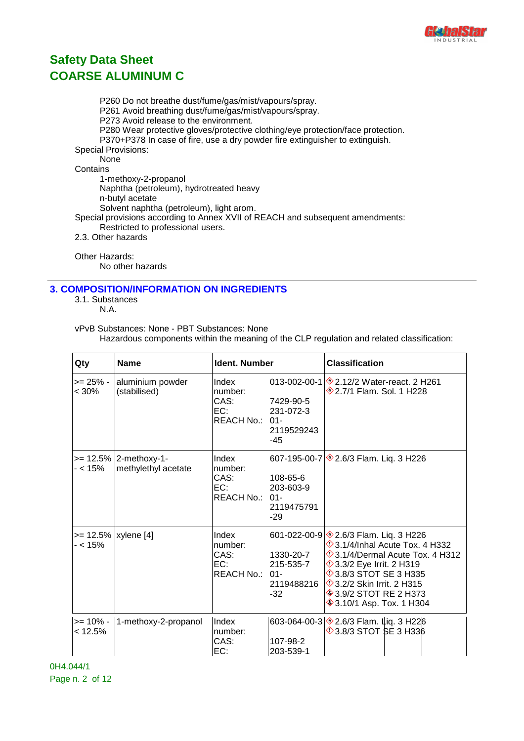

P260 Do not breathe dust/fume/gas/mist/vapours/spray. P261 Avoid breathing dust/fume/gas/mist/vapours/spray. P273 Avoid release to the environment. P280 Wear protective gloves/protective clothing/eye protection/face protection. P370+P378 In case of fire, use a dry powder fire extinguisher to extinguish. Special Provisions: None **Contains** 1-methoxy-2-propanol Naphtha (petroleum), hydrotreated heavy n-butyl acetate Solvent naphtha (petroleum), light arom. Special provisions according to Annex XVII of REACH and subsequent amendments: Restricted to professional users. 2.3. Other hazards

Other Hazards: No other hazards

#### **3. COMPOSITION/INFORMATION ON INGREDIENTS**

3.1. Substances N.A.

#### vPvB Substances: None - PBT Substances: None Hazardous components within the meaning of the CLP regulation and related classification:

| Qty                    | <b>Name</b>                                  | <b>Ident. Number</b>                              |                                               | <b>Classification</b>                                                                                                                                                                                                                                                                                             |
|------------------------|----------------------------------------------|---------------------------------------------------|-----------------------------------------------|-------------------------------------------------------------------------------------------------------------------------------------------------------------------------------------------------------------------------------------------------------------------------------------------------------------------|
| >= 25% -<br>$< 30\%$   | aluminium powder<br>(stabilised)             | Index<br>number:<br>CAS:<br>EC:<br>REACH No.: 01- | 7429-90-5<br>231-072-3<br>2119529243<br>-45   | 013-002-00-1 $\otimes$ 2.12/2 Water-react. 2 H261<br><b>1 H228</b> 2.7/1 Flam. Sol. 1 H228                                                                                                                                                                                                                        |
| - < 15%                | >= 12.5% 2-methoxy-1-<br>methylethyl acetate | Index<br>number:<br>CAS:<br>EC:<br>REACH No.: 01- | 108-65-6<br>203-603-9<br>2119475791<br>$-29$  | 607-195-00-7 $\otimes$ 2.6/3 Flam. Liq. 3 H226                                                                                                                                                                                                                                                                    |
| - < 15%                | >= 12.5%   xylene [4]                        | Index<br>number:<br>CAS:<br>EC:<br>REACH No.: 01- | 1330-20-7<br>215-535-7<br>2119488216<br>$-32$ | 601-022-00-9 \$2.6/3 Flam. Liq. 3 H226<br><b>1332</b> 3.1/4/Inhal Acute Tox. 4 H332<br>$\Diamond$ 3.1/4/Dermal Acute Tox. 4 H312<br><b>1</b> 3.3/2 Eye Irrit. 2 H319<br><b>13.8/3 STOT SE 3 H335</b><br><b>1315</b> 3.2/2 Skin Irrit. 2 H315<br><b>♦ 3.9/2 STOT RE 2 H373</b><br><b>♦ 3.10/1 Asp. Tox. 1 H304</b> |
| $>= 10\%$ -<br>< 12.5% | 1-methoxy-2-propanol                         | Index<br>number:<br>CAS:<br>EC:                   | 107-98-2<br>203-539-1                         | 603-064-00-3 $\otimes$ 2.6/3 Flam. Liq. 3 H226<br>$\Diamond$ 3.8/3 STOT SE 3 H336                                                                                                                                                                                                                                 |

0H4.044/1 Page n. 2 of 12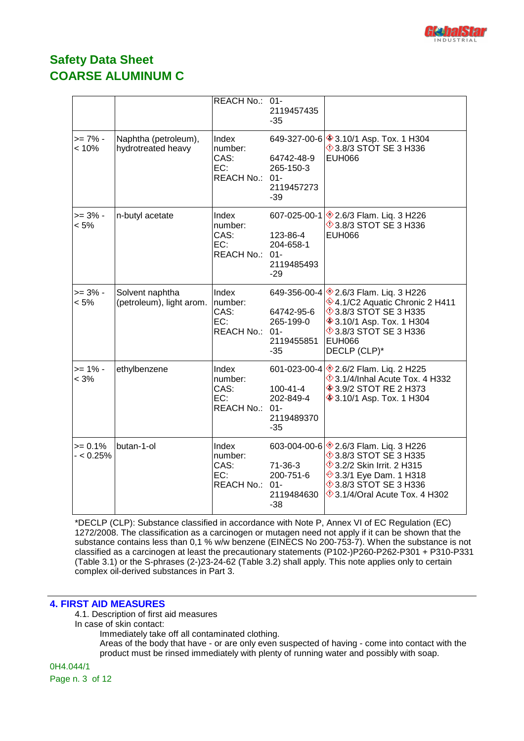

|                          |                                             | <b>REACH No.:</b>                                    | $01 -$<br>2119457435<br>$-35$                                |                                                                                                                                                                                                                              |
|--------------------------|---------------------------------------------|------------------------------------------------------|--------------------------------------------------------------|------------------------------------------------------------------------------------------------------------------------------------------------------------------------------------------------------------------------------|
| $>= 7\%$ -<br>< 10%      | Naphtha (petroleum),<br>hydrotreated heavy  | Index<br>number:<br>CAS:<br>EC:<br>REACH No.:        | 64742-48-9<br>265-150-3<br>$01 -$<br>2119457273<br>$-39$     | 649-327-00-6 ♦ 3.10/1 Asp. Tox. 1 H304<br>$\lozenge$ 3.8/3 STOT SE 3 H336<br><b>EUH066</b>                                                                                                                                   |
| $>= 3\%$ -<br>$< 5\%$    | n-butyl acetate                             | Index<br>number:<br>CAS:<br>EC:<br>REACH No.: 01-    | 607-025-00-1<br>123-86-4<br>204-658-1<br>2119485493<br>$-29$ | <b><sup>◈</sup>2.6/3 Flam. Liq. 3 H226</b><br>$\Diamond$ 3.8/3 STOT SE 3 H336<br><b>EUH066</b>                                                                                                                               |
| $>= 3\%$ -<br>$< 5\%$    | Solvent naphtha<br>(petroleum), light arom. | Index<br>number:<br>CAS:<br>EC:<br>REACH No.:        | 64742-95-6<br>265-199-0<br>$01 -$<br>2119455851<br>$-35$     | 649-356-00-4 $\otimes$ 2.6/3 Flam. Liq. 3 H226<br>♦4.1/C2 Aquatic Chronic 2 H411<br>$\Diamond$ 3.8/3 STOT SE 3 H335<br><b>♦ 3.10/1 Asp. Tox. 1 H304</b><br>$\Diamond$ 3.8/3 STOT SE 3 H336<br><b>EUH066</b><br>DECLP (CLP)*  |
| $>= 1\% -$<br>< 3%       | ethylbenzene                                | Index<br>number:<br>CAS:<br>EC:<br><b>REACH No.:</b> | $100 - 41 - 4$<br>202-849-4<br>$01 -$<br>2119489370<br>$-35$ | 601-023-00-4 2.6/2 Flam. Liq. 2 H225<br>$\Diamond$ 3.1/4/Inhal Acute Tox. 4 H332<br><b>♦ 3.9/2 STOT RE 2 H373</b><br><b>♦ 3.10/1 Asp. Tox. 1 H304</b>                                                                        |
| $>= 0.1%$<br>$- < 0.25%$ | butan-1-ol                                  | Index<br>number:<br>CAS:<br>EC:<br>REACH No.:        | $71-36-3$<br>200-751-6<br>$01 -$<br>2119484630<br>$-38$      | 603-004-00-6 $\otimes$ 2.6/3 Flam. Liq. 3 H226<br>$\lozenge$ 3.8/3 STOT SE 3 H335<br><b>1</b> 3.2/2 Skin Irrit. 2 H315<br>◈3.3/1 Eye Dam. 1 H318<br><b>123.8/3 STOT SE 3 H336</b><br>$\Diamond$ 3.1/4/Oral Acute Tox. 4 H302 |

\*DECLP (CLP): Substance classified in accordance with Note P, Annex VI of EC Regulation (EC) 1272/2008. The classification as a carcinogen or mutagen need not apply if it can be shown that the substance contains less than 0,1 % w/w benzene (EINECS No 200-753-7). When the substance is not classified as a carcinogen at least the precautionary statements (P102-)P260-P262-P301 + P310-P331 (Table 3.1) or the S-phrases (2-)23-24-62 (Table 3.2) shall apply. This note applies only to certain complex oil-derived substances in Part 3.

#### **4. FIRST AID MEASURES**

4.1. Description of first aid measures

- In case of skin contact:
	- Immediately take off all contaminated clothing.
	- Areas of the body that have or are only even suspected of having come into contact with the product must be rinsed immediately with plenty of running water and possibly with soap.

0H4.044/1 Page n. 3 of 12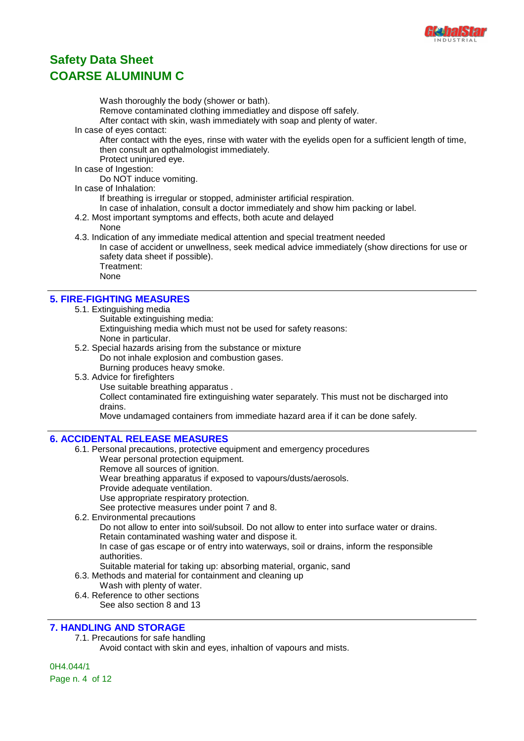

Wash thoroughly the body (shower or bath).

Remove contaminated clothing immediatley and dispose off safely.

After contact with skin, wash immediately with soap and plenty of water.

In case of eyes contact:

After contact with the eyes, rinse with water with the eyelids open for a sufficient length of time, then consult an opthalmologist immediately.

Protect uninjured eye.

In case of Ingestion:

Do NOT induce vomiting.

In case of Inhalation:

If breathing is irregular or stopped, administer artificial respiration.

- In case of inhalation, consult a doctor immediately and show him packing or label.
- 4.2. Most important symptoms and effects, both acute and delayed

None

4.3. Indication of any immediate medical attention and special treatment needed

In case of accident or unwellness, seek medical advice immediately (show directions for use or safety data sheet if possible). Treatment:

None

#### **5. FIRE-FIGHTING MEASURES**

- 5.1. Extinguishing media
	- Suitable extinguishing media:
	- Extinguishing media which must not be used for safety reasons:
	- None in particular.
- 5.2. Special hazards arising from the substance or mixture Do not inhale explosion and combustion gases. Burning produces heavy smoke.
- 5.3. Advice for firefighters
	- Use suitable breathing apparatus .

Collect contaminated fire extinguishing water separately. This must not be discharged into drains.

Move undamaged containers from immediate hazard area if it can be done safely.

#### **6. ACCIDENTAL RELEASE MEASURES**

- 6.1. Personal precautions, protective equipment and emergency procedures
	- Wear personal protection equipment.
	- Remove all sources of ignition.
	- Wear breathing apparatus if exposed to vapours/dusts/aerosols.
	- Provide adequate ventilation.
	- Use appropriate respiratory protection.

See protective measures under point 7 and 8.

6.2. Environmental precautions

Do not allow to enter into soil/subsoil. Do not allow to enter into surface water or drains. Retain contaminated washing water and dispose it.

In case of gas escape or of entry into waterways, soil or drains, inform the responsible authorities.

- Suitable material for taking up: absorbing material, organic, sand
- 6.3. Methods and material for containment and cleaning up
	- Wash with plenty of water.
- 6.4. Reference to other sections See also section 8 and 13

#### **7. HANDLING AND STORAGE**

7.1. Precautions for safe handling

Avoid contact with skin and eyes, inhaltion of vapours and mists.

0H4.044/1 Page n. 4 of 12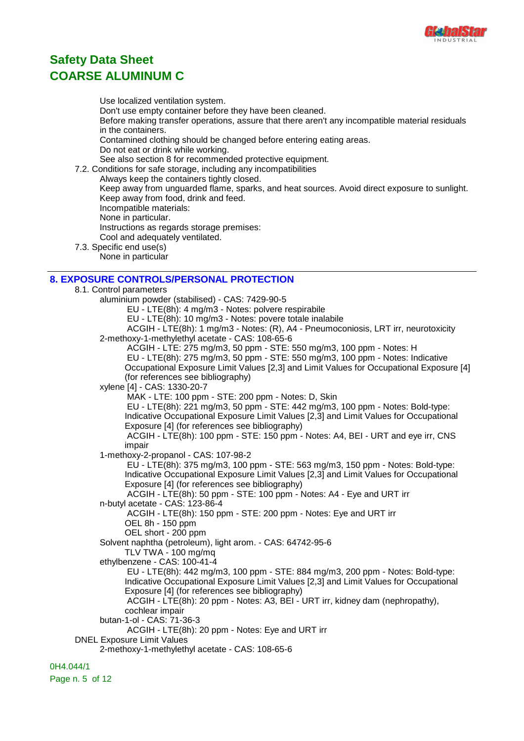

Use localized ventilation system.

Don't use empty container before they have been cleaned. Before making transfer operations, assure that there aren't any incompatible material residuals in the containers. Contamined clothing should be changed before entering eating areas. Do not eat or drink while working. See also section 8 for recommended protective equipment. 7.2. Conditions for safe storage, including any incompatibilities Always keep the containers tightly closed. Keep away from unguarded flame, sparks, and heat sources. Avoid direct exposure to sunlight. Keep away from food, drink and feed. Incompatible materials: None in particular. Instructions as regards storage premises: Cool and adequately ventilated. 7.3. Specific end use(s) None in particular **8. EXPOSURE CONTROLS/PERSONAL PROTECTION** 8.1. Control parameters aluminium powder (stabilised) - CAS: 7429-90-5 EU - LTE(8h): 4 mg/m3 - Notes: polvere respirabile EU - LTE(8h): 10 mg/m3 - Notes: povere totale inalabile ACGIH - LTE(8h): 1 mg/m3 - Notes: (R), A4 - Pneumoconiosis, LRT irr, neurotoxicity 2-methoxy-1-methylethyl acetate - CAS: 108-65-6 ACGIH - LTE: 275 mg/m3, 50 ppm - STE: 550 mg/m3, 100 ppm - Notes: H EU - LTE(8h): 275 mg/m3, 50 ppm - STE: 550 mg/m3, 100 ppm - Notes: Indicative Occupational Exposure Limit Values [2,3] and Limit Values for Occupational Exposure [4] (for references see bibliography) xylene [4] - CAS: 1330-20-7 MAK - LTE: 100 ppm - STE: 200 ppm - Notes: D, Skin EU - LTE(8h): 221 mg/m3, 50 ppm - STE: 442 mg/m3, 100 ppm - Notes: Bold-type: Indicative Occupational Exposure Limit Values [2,3] and Limit Values for Occupational Exposure [4] (for references see bibliography) ACGIH - LTE(8h): 100 ppm - STE: 150 ppm - Notes: A4, BEI - URT and eye irr, CNS impair 1-methoxy-2-propanol - CAS: 107-98-2 EU - LTE(8h): 375 mg/m3, 100 ppm - STE: 563 mg/m3, 150 ppm - Notes: Bold-type: Indicative Occupational Exposure Limit Values [2,3] and Limit Values for Occupational Exposure [4] (for references see bibliography) ACGIH - LTE(8h): 50 ppm - STE: 100 ppm - Notes: A4 - Eye and URT irr n-butyl acetate - CAS: 123-86-4 ACGIH - LTE(8h): 150 ppm - STE: 200 ppm - Notes: Eye and URT irr OEL 8h - 150 ppm OEL short - 200 ppm Solvent naphtha (petroleum), light arom. - CAS: 64742-95-6 TLV TWA - 100 mg/mq ethylbenzene - CAS: 100-41-4 EU - LTE(8h): 442 mg/m3, 100 ppm - STE: 884 mg/m3, 200 ppm - Notes: Bold-type: Indicative Occupational Exposure Limit Values [2,3] and Limit Values for Occupational Exposure [4] (for references see bibliography) ACGIH - LTE(8h): 20 ppm - Notes: A3, BEI - URT irr, kidney dam (nephropathy), cochlear impair butan-1-ol - CAS: 71-36-3 ACGIH - LTE(8h): 20 ppm - Notes: Eye and URT irr DNEL Exposure Limit Values 2-methoxy-1-methylethyl acetate - CAS: 108-65-6 0H4.044/1

Page n. 5 of 12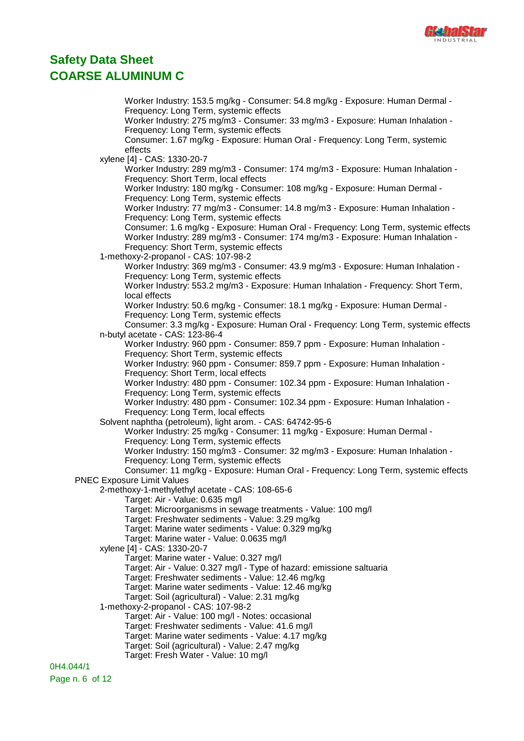

Worker Industry: 153.5 mg/kg - Consumer: 54.8 mg/kg - Exposure: Human Dermal - Frequency: Long Term, systemic effects Worker Industry: 275 mg/m3 - Consumer: 33 mg/m3 - Exposure: Human Inhalation - Frequency: Long Term, systemic effects Consumer: 1.67 mg/kg - Exposure: Human Oral - Frequency: Long Term, systemic effects xylene [4] - CAS: 1330-20-7 Worker Industry: 289 mg/m3 - Consumer: 174 mg/m3 - Exposure: Human Inhalation - Frequency: Short Term, local effects Worker Industry: 180 mg/kg - Consumer: 108 mg/kg - Exposure: Human Dermal - Frequency: Long Term, systemic effects Worker Industry: 77 mg/m3 - Consumer: 14.8 mg/m3 - Exposure: Human Inhalation - Frequency: Long Term, systemic effects Consumer: 1.6 mg/kg - Exposure: Human Oral - Frequency: Long Term, systemic effects Worker Industry: 289 mg/m3 - Consumer: 174 mg/m3 - Exposure: Human Inhalation - Frequency: Short Term, systemic effects 1-methoxy-2-propanol - CAS: 107-98-2 Worker Industry: 369 mg/m3 - Consumer: 43.9 mg/m3 - Exposure: Human Inhalation - Frequency: Long Term, systemic effects Worker Industry: 553.2 mg/m3 - Exposure: Human Inhalation - Frequency: Short Term, local effects Worker Industry: 50.6 mg/kg - Consumer: 18.1 mg/kg - Exposure: Human Dermal - Frequency: Long Term, systemic effects Consumer: 3.3 mg/kg - Exposure: Human Oral - Frequency: Long Term, systemic effects n-butyl acetate - CAS: 123-86-4 Worker Industry: 960 ppm - Consumer: 859.7 ppm - Exposure: Human Inhalation - Frequency: Short Term, systemic effects Worker Industry: 960 ppm - Consumer: 859.7 ppm - Exposure: Human Inhalation - Frequency: Short Term, local effects Worker Industry: 480 ppm - Consumer: 102.34 ppm - Exposure: Human Inhalation - Frequency: Long Term, systemic effects Worker Industry: 480 ppm - Consumer: 102.34 ppm - Exposure: Human Inhalation - Frequency: Long Term, local effects Solvent naphtha (petroleum), light arom. - CAS: 64742-95-6 Worker Industry: 25 mg/kg - Consumer: 11 mg/kg - Exposure: Human Dermal - Frequency: Long Term, systemic effects Worker Industry: 150 mg/m3 - Consumer: 32 mg/m3 - Exposure: Human Inhalation - Frequency: Long Term, systemic effects Consumer: 11 mg/kg - Exposure: Human Oral - Frequency: Long Term, systemic effects PNEC Exposure Limit Values 2-methoxy-1-methylethyl acetate - CAS: 108-65-6 Target: Air - Value: 0.635 mg/l Target: Microorganisms in sewage treatments - Value: 100 mg/l Target: Freshwater sediments - Value: 3.29 mg/kg Target: Marine water sediments - Value: 0.329 mg/kg Target: Marine water - Value: 0.0635 mg/l xylene [4] - CAS: 1330-20-7 Target: Marine water - Value: 0.327 mg/l Target: Air - Value: 0.327 mg/l - Type of hazard: emissione saltuaria Target: Freshwater sediments - Value: 12.46 mg/kg Target: Marine water sediments - Value: 12.46 mg/kg Target: Soil (agricultural) - Value: 2.31 mg/kg 1-methoxy-2-propanol - CAS: 107-98-2 Target: Air - Value: 100 mg/l - Notes: occasional Target: Freshwater sediments - Value: 41.6 mg/l Target: Marine water sediments - Value: 4.17 mg/kg Target: Soil (agricultural) - Value: 2.47 mg/kg Target: Fresh Water - Value: 10 mg/l

0H4.044/1 Page n. 6 of 12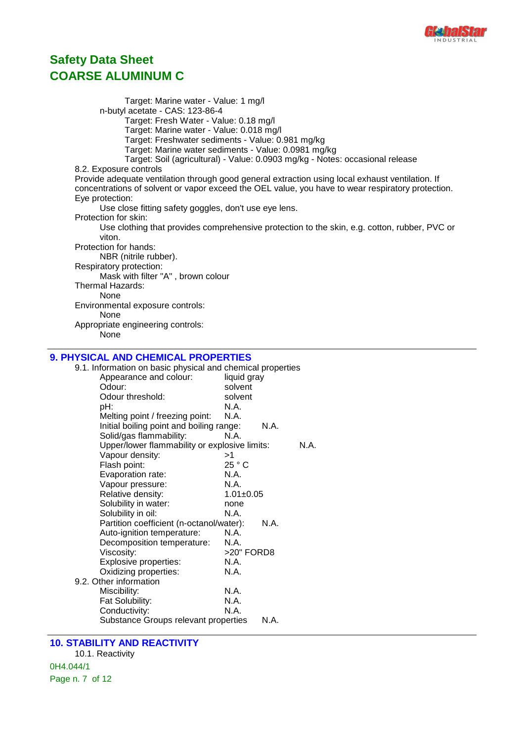

Target: Marine water - Value: 1 mg/l n-butyl acetate - CAS: 123-86-4 Target: Fresh Water - Value: 0.18 mg/l Target: Marine water - Value: 0.018 mg/l Target: Freshwater sediments - Value: 0.981 mg/kg Target: Marine water sediments - Value: 0.0981 mg/kg Target: Soil (agricultural) - Value: 0.0903 mg/kg - Notes: occasional release 8.2. Exposure controls Provide adequate ventilation through good general extraction using local exhaust ventilation. If concentrations of solvent or vapor exceed the OEL value, you have to wear respiratory protection. Eye protection: Use close fitting safety goggles, don't use eye lens. Protection for skin: Use clothing that provides comprehensive protection to the skin, e.g. cotton, rubber, PVC or viton. Protection for hands: NBR (nitrile rubber). Respiratory protection: Mask with filter "A" , brown colour Thermal Hazards: None Environmental exposure controls: None Appropriate engineering controls: None **9. PHYSICAL AND CHEMICAL PROPERTIES** 9.1. Information on basic physical and chemical properties Appearance and colour: liquid gray Odour: solvent Odour threshold: solvent pH: N.A.<br>Melting point / freezing point: N.A. Melting point / freezing point: Initial boiling point and boiling range: N.A. Solid/gas flammability: N.A. Upper/lower flammability or explosive limits: N.A. Vapour density:  $>1$ Flash point: 25 ° C Evaporation rate: N.A. Vapour pressure: N.A. Relative density: 1.01±0.05 Solubility in water: none Solubility in oil: N.A. Partition coefficient (n-octanol/water): N.A. Auto-ignition temperature: N.A. Decomposition temperature: N.A. Viscosity:  $>20"$  FORD8<br>Explosive properties:  $N.A$ Explosive properties: Oxidizing properties: N.A.

Miscibility: N.A.<br>Fat Solubility: N.A. Fat Solubility: Conductivity: N.A. Substance Groups relevant properties N.A.

#### **10. STABILITY AND REACTIVITY**

9.2. Other information

10.1. Reactivity 0H4.044/1 Page n. 7 of 12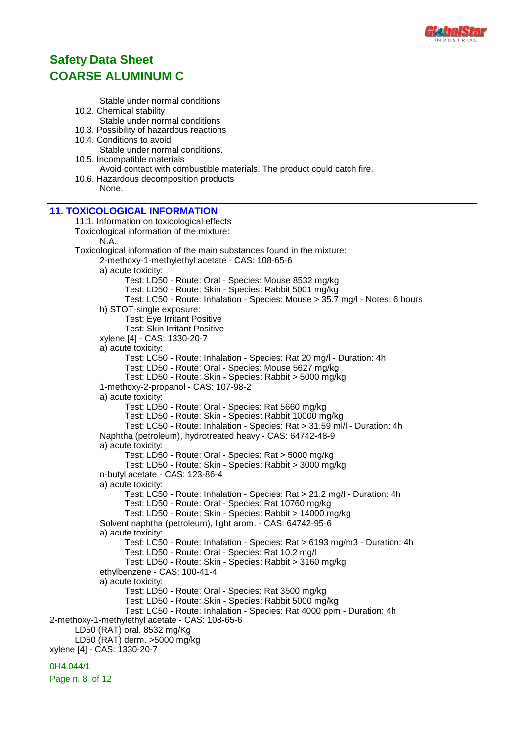

Stable under normal conditions 10.2. Chemical stability Stable under normal conditions 10.3. Possibility of hazardous reactions 10.4. Conditions to avoid Stable under normal conditions. 10.5. Incompatible materials Avoid contact with combustible materials. The product could catch fire. 10.6. Hazardous decomposition products None. **11. TOXICOLOGICAL INFORMATION** 11.1. Information on toxicological effects Toxicological information of the mixture: N.A. Toxicological information of the main substances found in the mixture: 2-methoxy-1-methylethyl acetate - CAS: 108-65-6 a) acute toxicity: Test: LD50 - Route: Oral - Species: Mouse 8532 mg/kg Test: LD50 - Route: Skin - Species: Rabbit 5001 mg/kg Test: LC50 - Route: Inhalation - Species: Mouse > 35.7 mg/l - Notes: 6 hours h) STOT-single exposure: Test: Eye Irritant Positive Test: Skin Irritant Positive xylene [4] - CAS: 1330-20-7 a) acute toxicity: Test: LC50 - Route: Inhalation - Species: Rat 20 mg/l - Duration: 4h Test: LD50 - Route: Oral - Species: Mouse 5627 mg/kg Test: LD50 - Route: Skin - Species: Rabbit > 5000 mg/kg 1-methoxy-2-propanol - CAS: 107-98-2 a) acute toxicity: Test: LD50 - Route: Oral - Species: Rat 5660 mg/kg Test: LD50 - Route: Skin - Species: Rabbit 10000 mg/kg Test: LC50 - Route: Inhalation - Species: Rat > 31.59 ml/l - Duration: 4h Naphtha (petroleum), hydrotreated heavy - CAS: 64742-48-9 a) acute toxicity: Test: LD50 - Route: Oral - Species: Rat > 5000 mg/kg Test: LD50 - Route: Skin - Species: Rabbit > 3000 mg/kg n-butyl acetate - CAS: 123-86-4 a) acute toxicity: Test: LC50 - Route: Inhalation - Species: Rat > 21.2 mg/l - Duration: 4h Test: LD50 - Route: Oral - Species: Rat 10760 mg/kg Test: LD50 - Route: Skin - Species: Rabbit > 14000 mg/kg Solvent naphtha (petroleum), light arom. - CAS: 64742-95-6 a) acute toxicity: Test: LC50 - Route: Inhalation - Species: Rat > 6193 mg/m3 - Duration: 4h Test: LD50 - Route: Oral - Species: Rat 10.2 mg/l Test: LD50 - Route: Skin - Species: Rabbit > 3160 mg/kg ethylbenzene - CAS: 100-41-4 a) acute toxicity: Test: LD50 - Route: Oral - Species: Rat 3500 mg/kg Test: LD50 - Route: Skin - Species: Rabbit 5000 mg/kg Test: LC50 - Route: Inhalation - Species: Rat 4000 ppm - Duration: 4h 2-methoxy-1-methylethyl acetate - CAS: 108-65-6 LD50 (RAT) oral. 8532 mg/Kg LD50 (RAT) derm. >5000 mg/kg xylene [4] - CAS: 1330-20-7

0H4.044/1

Page n. 8 of 12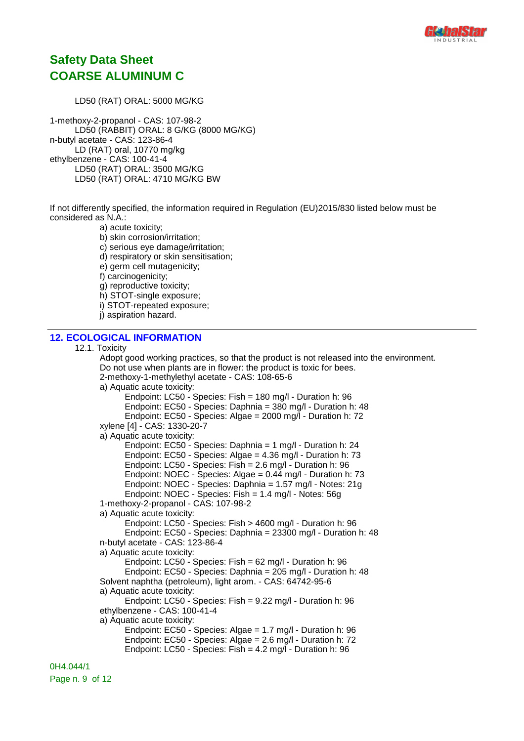

LD50 (RAT) ORAL: 5000 MG/KG

1-methoxy-2-propanol - CAS: 107-98-2 LD50 (RABBIT) ORAL: 8 G/KG (8000 MG/KG) n-butyl acetate - CAS: 123-86-4 LD (RAT) oral, 10770 mg/kg ethylbenzene - CAS: 100-41-4 LD50 (RAT) ORAL: 3500 MG/KG LD50 (RAT) ORAL: 4710 MG/KG BW

If not differently specified, the information required in Regulation (EU)2015/830 listed below must be considered as N.A.:

a) acute toxicity; b) skin corrosion/irritation; c) serious eye damage/irritation; d) respiratory or skin sensitisation; e) germ cell mutagenicity; f) carcinogenicity; g) reproductive toxicity; h) STOT-single exposure; i) STOT-repeated exposure; j) aspiration hazard.

#### **12. ECOLOGICAL INFORMATION**

12.1. Toxicity

Adopt good working practices, so that the product is not released into the environment. Do not use when plants are in flower: the product is toxic for bees. 2-methoxy-1-methylethyl acetate - CAS: 108-65-6 a) Aquatic acute toxicity: Endpoint: LC50 - Species: Fish = 180 mg/l - Duration h: 96 Endpoint: EC50 - Species: Daphnia = 380 mg/l - Duration h: 48 Endpoint: EC50 - Species: Algae = 2000 mg/l - Duration h: 72 xylene [4] - CAS: 1330-20-7 a) Aquatic acute toxicity: Endpoint: EC50 - Species: Daphnia = 1 mg/l - Duration h: 24 Endpoint: EC50 - Species: Algae = 4.36 mg/l - Duration h: 73 Endpoint: LC50 - Species: Fish = 2.6 mg/l - Duration h: 96 Endpoint: NOEC - Species: Algae = 0.44 mg/l - Duration h: 73 Endpoint: NOEC - Species: Daphnia = 1.57 mg/l - Notes: 21g Endpoint: NOEC - Species: Fish = 1.4 mg/l - Notes: 56g 1-methoxy-2-propanol - CAS: 107-98-2 a) Aquatic acute toxicity: Endpoint: LC50 - Species: Fish > 4600 mg/l - Duration h: 96 Endpoint: EC50 - Species: Daphnia = 23300 mg/l - Duration h: 48 n-butyl acetate - CAS: 123-86-4 a) Aquatic acute toxicity: Endpoint: LC50 - Species: Fish = 62 mg/l - Duration h: 96 Endpoint: EC50 - Species: Daphnia = 205 mg/l - Duration h: 48 Solvent naphtha (petroleum), light arom. - CAS: 64742-95-6 a) Aquatic acute toxicity: Endpoint: LC50 - Species: Fish = 9.22 mg/l - Duration h: 96 ethylbenzene - CAS: 100-41-4 a) Aquatic acute toxicity: Endpoint: EC50 - Species: Algae = 1.7 mg/l - Duration h: 96 Endpoint: EC50 - Species: Algae = 2.6 mg/l - Duration h: 72 Endpoint: LC50 - Species: Fish = 4.2 mg/l - Duration h: 96

Page n. 9 of 12

0H4.044/1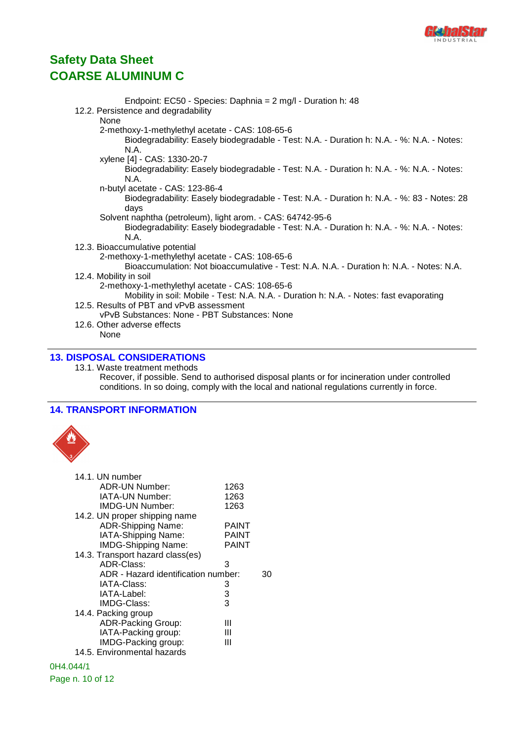

| Endpoint: EC50 - Species: Daphnia = 2 mg/l - Duration h: 48                                |
|--------------------------------------------------------------------------------------------|
| 12.2. Persistence and degradability                                                        |
| None                                                                                       |
| 2-methoxy-1-methylethyl acetate - CAS: 108-65-6                                            |
| Biodegradability: Easely biodegradable - Test: N.A. - Duration h: N.A. - %: N.A. - Notes:  |
| N.A.                                                                                       |
| xylene [4] - CAS: 1330-20-7                                                                |
| Biodegradability: Easely biodegradable - Test: N.A. - Duration h: N.A. - %: N.A. - Notes:  |
| N.A.                                                                                       |
| n-butyl acetate - CAS: 123-86-4                                                            |
| Biodegradability: Easely biodegradable - Test: N.A. - Duration h: N.A. - %: 83 - Notes: 28 |
| days                                                                                       |
| Solvent naphtha (petroleum), light arom. - CAS: 64742-95-6                                 |
| Biodegradability: Easely biodegradable - Test: N.A. - Duration h: N.A. - %: N.A. - Notes:  |
| N.A.                                                                                       |
| 12.3. Bioaccumulative potential                                                            |
| 2-methoxy-1-methylethyl acetate - CAS: 108-65-6                                            |
| Bioaccumulation: Not bioaccumulative - Test: N.A. N.A. - Duration h: N.A. - Notes: N.A.    |
| 12.4. Mobility in soil                                                                     |
| 2-methoxy-1-methylethyl acetate - CAS: 108-65-6                                            |
| Mobility in soil: Mobile - Test: N.A. N.A. - Duration h: N.A. - Notes: fast evaporating    |
| 12.5. Results of PBT and vPvB assessment                                                   |
| vPvB Substances: None - PBT Substances: None                                               |
| 12.6. Other adverse effects                                                                |
| None                                                                                       |
|                                                                                            |

### **13. DISPOSAL CONSIDERATIONS**

13.1. Waste treatment methods Recover, if possible. Send to authorised disposal plants or for incineration under controlled conditions. In so doing, comply with the local and national regulations currently in force.

### **14. TRANSPORT INFORMATION**



| 14.1. UN number                     |              |    |
|-------------------------------------|--------------|----|
| ADR-UN Number:                      | 1263         |    |
| IATA-UN Number:                     | 1263         |    |
| <b>IMDG-UN Number:</b>              | 1263         |    |
| 14.2. UN proper shipping name       |              |    |
| <b>ADR-Shipping Name:</b>           | <b>PAINT</b> |    |
| IATA-Shipping Name:                 | PAINT        |    |
| <b>IMDG-Shipping Name:</b>          | <b>PAINT</b> |    |
| 14.3. Transport hazard class(es)    |              |    |
| ADR-Class:                          | 3            |    |
| ADR - Hazard identification number: |              | 30 |
| IATA-Class:                         | 3            |    |
| IATA-Label:                         | 3            |    |
| IMDG-Class:                         | 3            |    |
| 14.4. Packing group                 |              |    |
| <b>ADR-Packing Group:</b>           | Ш            |    |
| IATA-Packing group:                 | Ш            |    |
| IMDG-Packing group:                 | Ш            |    |
| 14.5. Environmental hazards         |              |    |
| 0H4.044/1                           |              |    |

### Page n. 10 of 12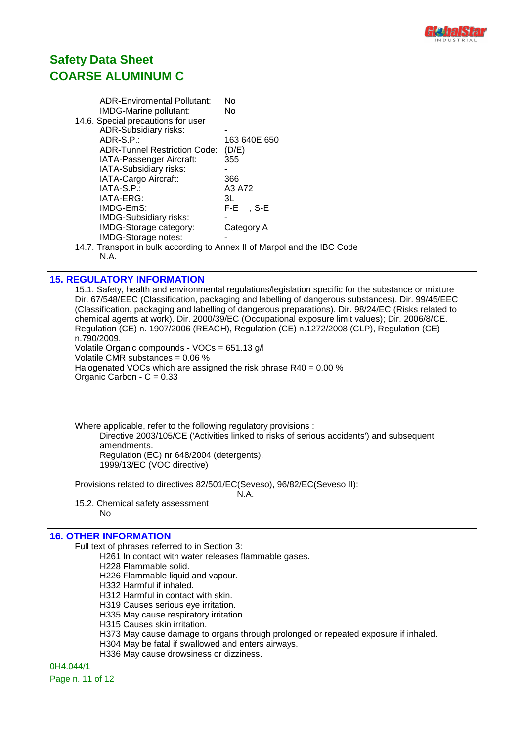

| <b>ADR-Enviromental Pollutant:</b>  | No             |
|-------------------------------------|----------------|
| IMDG-Marine pollutant:              | No             |
| 14.6. Special precautions for user  |                |
| <b>ADR-Subsidiary risks:</b>        |                |
| $ADR-S.P.$ :                        | 163 640E 650   |
| <b>ADR-Tunnel Restriction Code:</b> | (D/E)          |
| IATA-Passenger Aircraft:            | 355            |
| IATA-Subsidiary risks:              |                |
| IATA-Cargo Aircraft:                | 366            |
| IATA-S.P.:                          | A3 A72         |
| IATA-ERG:                           | 3L             |
| IMDG-EmS:                           | F-E i<br>. S-E |
| <b>IMDG-Subsidiary risks:</b>       |                |
| IMDG-Storage category:              | Category A     |
| IMDG-Storage notes:                 |                |
|                                     |                |

14.7. Transport in bulk according to Annex II of Marpol and the IBC Code N.A.

#### **15. REGULATORY INFORMATION**

15.1. Safety, health and environmental regulations/legislation specific for the substance or mixture Dir. 67/548/EEC (Classification, packaging and labelling of dangerous substances). Dir. 99/45/EEC (Classification, packaging and labelling of dangerous preparations). Dir. 98/24/EC (Risks related to chemical agents at work). Dir. 2000/39/EC (Occupational exposure limit values); Dir. 2006/8/CE. Regulation (CE) n. 1907/2006 (REACH), Regulation (CE) n.1272/2008 (CLP), Regulation (CE) n.790/2009. Volatile Organic compounds - VOCs = 651.13 g/l

Volatile CMR substances = 0.06 %

Halogenated VOCs which are assigned the risk phrase  $R40 = 0.00$  % Organic Carbon -  $C = 0.33$ 

Where applicable, refer to the following regulatory provisions : Directive 2003/105/CE ('Activities linked to risks of serious accidents') and subsequent amendments. Regulation (EC) nr 648/2004 (detergents). 1999/13/EC (VOC directive)

Provisions related to directives 82/501/EC(Seveso), 96/82/EC(Seveso II):

N.A.

15.2. Chemical safety assessment No

#### **16. OTHER INFORMATION**

Full text of phrases referred to in Section 3:

H261 In contact with water releases flammable gases.

H228 Flammable solid.

H226 Flammable liquid and vapour.

H332 Harmful if inhaled.

H312 Harmful in contact with skin.

H319 Causes serious eye irritation.

H335 May cause respiratory irritation.

H315 Causes skin irritation.

- H373 May cause damage to organs through prolonged or repeated exposure if inhaled.
- H304 May be fatal if swallowed and enters airways.

H336 May cause drowsiness or dizziness.

0H4.044/1 Page n. 11 of 12